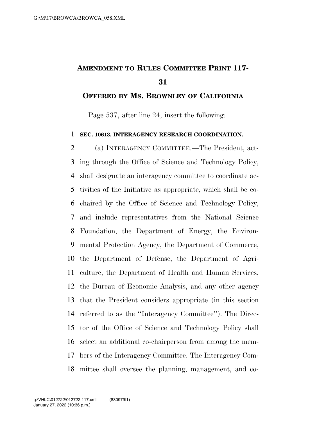## **AMENDMENT TO RULES COMMITTEE PRINT 117-**

## **OFFERED BY MS. BROWNLEY OF CALIFORNIA**

Page 537, after line 24, insert the following:

## **SEC. 10613. INTERAGENCY RESEARCH COORDINATION.**

 (a) INTERAGENCY COMMITTEE.—The President, act- ing through the Office of Science and Technology Policy, shall designate an interagency committee to coordinate ac- tivities of the Initiative as appropriate, which shall be co- chaired by the Office of Science and Technology Policy, and include representatives from the National Science Foundation, the Department of Energy, the Environ- mental Protection Agency, the Department of Commerce, the Department of Defense, the Department of Agri- culture, the Department of Health and Human Services, the Bureau of Economic Analysis, and any other agency that the President considers appropriate (in this section referred to as the ''Interagency Committee''). The Direc- tor of the Office of Science and Technology Policy shall select an additional co-chairperson from among the mem- bers of the Interagency Committee. The Interagency Com-mittee shall oversee the planning, management, and co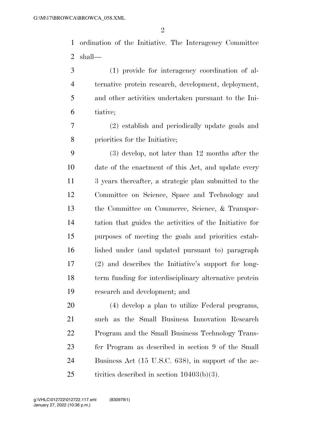ordination of the Initiative. The Interagency Committee shall—

 (1) provide for interagency coordination of al- ternative protein research, development, deployment, and other activities undertaken pursuant to the Ini-tiative;

 (2) establish and periodically update goals and priorities for the Initiative;

 (3) develop, not later than 12 months after the date of the enactment of this Act, and update every 3 years thereafter, a strategic plan submitted to the Committee on Science, Space and Technology and the Committee on Commerce, Science, & Transpor- tation that guides the activities of the Initiative for purposes of meeting the goals and priorities estab- lished under (and updated pursuant to) paragraph (2) and describes the Initiative's support for long- term funding for interdisciplinary alternative protein research and development; and

 (4) develop a plan to utilize Federal programs, such as the Small Business Innovation Research Program and the Small Business Technology Trans- fer Program as described in section 9 of the Small Business Act (15 U.S.C. 638), in support of the ac-tivities described in section 10403(b)(3).